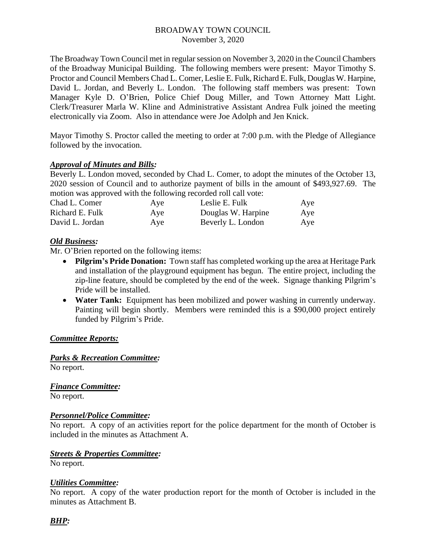### BROADWAY TOWN COUNCIL November 3, 2020

The Broadway Town Council met in regular session on November 3, 2020 in the Council Chambers of the Broadway Municipal Building. The following members were present: Mayor Timothy S. Proctor and Council Members Chad L. Comer, Leslie E. Fulk, Richard E. Fulk, Douglas W. Harpine, David L. Jordan, and Beverly L. London. The following staff members was present: Town Manager Kyle D. O'Brien, Police Chief Doug Miller, and Town Attorney Matt Light. Clerk/Treasurer Marla W. Kline and Administrative Assistant Andrea Fulk joined the meeting electronically via Zoom. Also in attendance were Joe Adolph and Jen Knick.

Mayor Timothy S. Proctor called the meeting to order at 7:00 p.m. with the Pledge of Allegiance followed by the invocation.

## *Approval of Minutes and Bills:*

Beverly L. London moved, seconded by Chad L. Comer, to adopt the minutes of the October 13, 2020 session of Council and to authorize payment of bills in the amount of \$493,927.69. The motion was approved with the following recorded roll call vote:

| Aye | Leslie E. Fulk     | Aye |
|-----|--------------------|-----|
| Aye | Douglas W. Harpine | Aye |
| Aye | Beverly L. London  | Aye |
|     |                    |     |

## *Old Business:*

Mr. O'Brien reported on the following items:

- **Pilgrim's Pride Donation:** Town staff has completed working up the area at Heritage Park and installation of the playground equipment has begun. The entire project, including the zip-line feature, should be completed by the end of the week. Signage thanking Pilgrim's Pride will be installed.
- **Water Tank:** Equipment has been mobilized and power washing in currently underway. Painting will begin shortly. Members were reminded this is a \$90,000 project entirely funded by Pilgrim's Pride.

#### *Committee Reports:*

*Parks & Recreation Committee:* No report.

*Finance Committee:* No report.

## *Personnel/Police Committee:*

No report. A copy of an activities report for the police department for the month of October is included in the minutes as Attachment A.

#### *Streets & Properties Committee:*

No report.

#### *Utilities Committee:*

No report. A copy of the water production report for the month of October is included in the minutes as Attachment B.